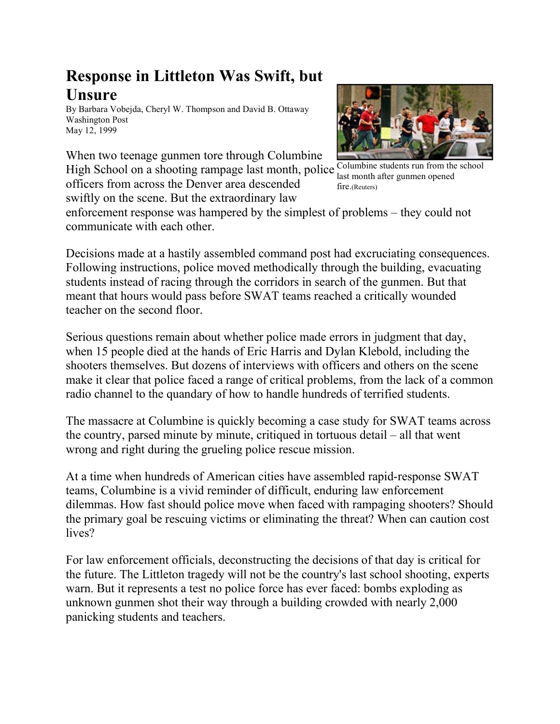# **Response in Littleton Was Swift, but Unsure**

By Barbara Vobejda, Cheryl W. Thompson and David B. Ottaway Washington Post May 12, 1999

When two teenage gunmen tore through Columbine High School on a shooting rampage last month, police Columbine students run from the school officers from across the Denver area descended swiftly on the scene. But the extraordinary law



last month after gunmen opened fire.(Reuters)

enforcement response was hampered by the simplest of problems – they could not communicate with each other.

Decisions made at a hastily assembled command post had excruciating consequences. Following instructions, police moved methodically through the building, evacuating students instead of racing through the corridors in search of the gunmen. But that meant that hours would pass before SWAT teams reached a critically wounded teacher on the second floor.

Serious questions remain about whether police made errors in judgment that day, when 15 people died at the hands of Eric Harris and Dylan Klebold, including the shooters themselves. But dozens of interviews with officers and others on the scene make it clear that police faced a range of critical problems, from the lack of a common radio channel to the quandary of how to handle hundreds of terrified students.

The massacre at Columbine is quickly becoming a case study for SWAT teams across the country, parsed minute by minute, critiqued in tortuous detail – all that went wrong and right during the grueling police rescue mission.

At a time when hundreds of American cities have assembled rapid-response SWAT teams, Columbine is a vivid reminder of difficult, enduring law enforcement dilemmas. How fast should police move when faced with rampaging shooters? Should the primary goal be rescuing victims or eliminating the threat? When can caution cost lives?

For law enforcement officials, deconstructing the decisions of that day is critical for the future. The Littleton tragedy will not be the country's last school shooting, experts warn. But it represents a test no police force has ever faced: bombs exploding as unknown gunmen shot their way through a building crowded with nearly 2,000 panicking students and teachers.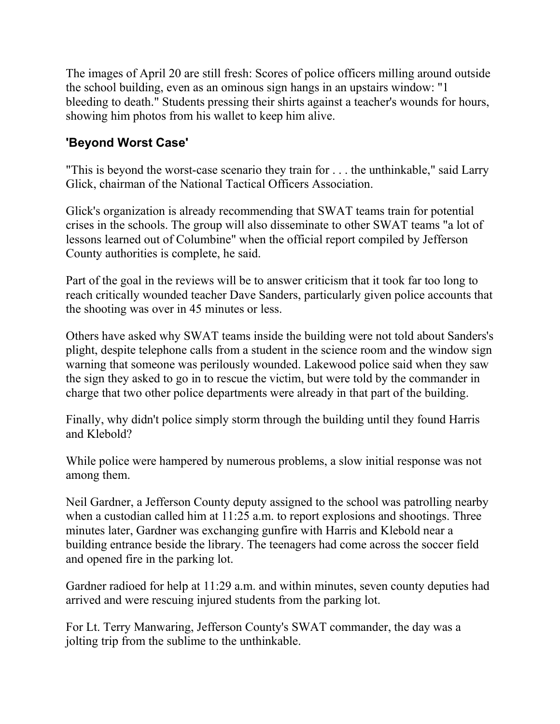The images of April 20 are still fresh: Scores of police officers milling around outside the school building, even as an ominous sign hangs in an upstairs window: "1 bleeding to death." Students pressing their shirts against a teacher's wounds for hours, showing him photos from his wallet to keep him alive.

### **'Beyond Worst Case'**

"This is beyond the worst-case scenario they train for . . . the unthinkable," said Larry Glick, chairman of the National Tactical Officers Association.

Glick's organization is already recommending that SWAT teams train for potential crises in the schools. The group will also disseminate to other SWAT teams "a lot of lessons learned out of Columbine" when the official report compiled by Jefferson County authorities is complete, he said.

Part of the goal in the reviews will be to answer criticism that it took far too long to reach critically wounded teacher Dave Sanders, particularly given police accounts that the shooting was over in 45 minutes or less.

Others have asked why SWAT teams inside the building were not told about Sanders's plight, despite telephone calls from a student in the science room and the window sign warning that someone was perilously wounded. Lakewood police said when they saw the sign they asked to go in to rescue the victim, but were told by the commander in charge that two other police departments were already in that part of the building.

Finally, why didn't police simply storm through the building until they found Harris and Klebold?

While police were hampered by numerous problems, a slow initial response was not among them.

Neil Gardner, a Jefferson County deputy assigned to the school was patrolling nearby when a custodian called him at 11:25 a.m. to report explosions and shootings. Three minutes later, Gardner was exchanging gunfire with Harris and Klebold near a building entrance beside the library. The teenagers had come across the soccer field and opened fire in the parking lot.

Gardner radioed for help at 11:29 a.m. and within minutes, seven county deputies had arrived and were rescuing injured students from the parking lot.

For Lt. Terry Manwaring, Jefferson County's SWAT commander, the day was a jolting trip from the sublime to the unthinkable.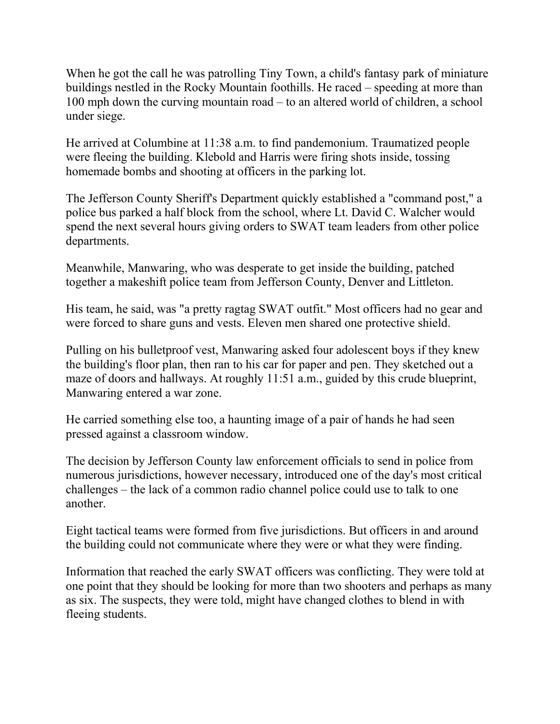When he got the call he was patrolling Tiny Town, a child's fantasy park of miniature buildings nestled in the Rocky Mountain foothills. He raced – speeding at more than 100 mph down the curving mountain road – to an altered world of children, a school under siege.

He arrived at Columbine at 11:38 a.m. to find pandemonium. Traumatized people were fleeing the building. Klebold and Harris were firing shots inside, tossing homemade bombs and shooting at officers in the parking lot.

The Jefferson County Sheriff's Department quickly established a "command post," a police bus parked a half block from the school, where Lt. David C. Walcher would spend the next several hours giving orders to SWAT team leaders from other police departments.

Meanwhile, Manwaring, who was desperate to get inside the building, patched together a makeshift police team from Jefferson County, Denver and Littleton.

His team, he said, was "a pretty ragtag SWAT outfit." Most officers had no gear and were forced to share guns and vests. Eleven men shared one protective shield.

Pulling on his bulletproof vest, Manwaring asked four adolescent boys if they knew the building's floor plan, then ran to his car for paper and pen. They sketched out a maze of doors and hallways. At roughly 11:51 a.m., guided by this crude blueprint, Manwaring entered a war zone.

He carried something else too, a haunting image of a pair of hands he had seen pressed against a classroom window.

The decision by Jefferson County law enforcement officials to send in police from numerous jurisdictions, however necessary, introduced one of the day's most critical challenges – the lack of a common radio channel police could use to talk to one another.

Eight tactical teams were formed from five jurisdictions. But officers in and around the building could not communicate where they were or what they were finding.

Information that reached the early SWAT officers was conflicting. They were told at one point that they should be looking for more than two shooters and perhaps as many as six. The suspects, they were told, might have changed clothes to blend in with fleeing students.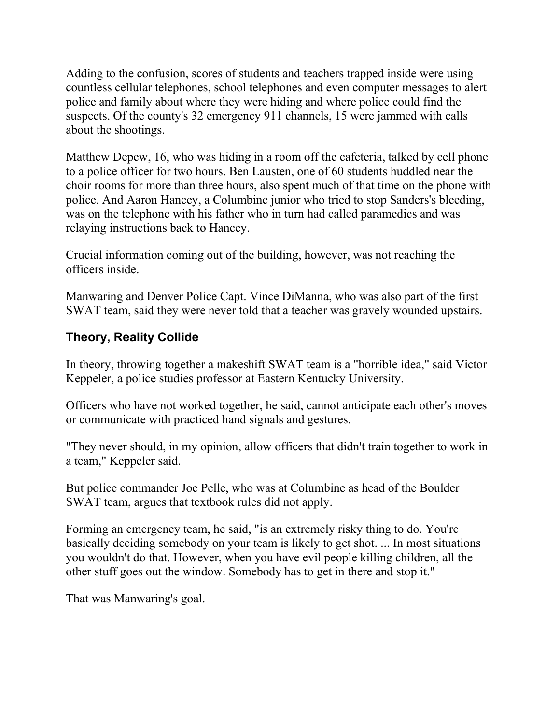Adding to the confusion, scores of students and teachers trapped inside were using countless cellular telephones, school telephones and even computer messages to alert police and family about where they were hiding and where police could find the suspects. Of the county's 32 emergency 911 channels, 15 were jammed with calls about the shootings.

Matthew Depew, 16, who was hiding in a room off the cafeteria, talked by cell phone to a police officer for two hours. Ben Lausten, one of 60 students huddled near the choir rooms for more than three hours, also spent much of that time on the phone with police. And Aaron Hancey, a Columbine junior who tried to stop Sanders's bleeding, was on the telephone with his father who in turn had called paramedics and was relaying instructions back to Hancey.

Crucial information coming out of the building, however, was not reaching the officers inside.

Manwaring and Denver Police Capt. Vince DiManna, who was also part of the first SWAT team, said they were never told that a teacher was gravely wounded upstairs.

#### **Theory, Reality Collide**

In theory, throwing together a makeshift SWAT team is a "horrible idea," said Victor Keppeler, a police studies professor at Eastern Kentucky University.

Officers who have not worked together, he said, cannot anticipate each other's moves or communicate with practiced hand signals and gestures.

"They never should, in my opinion, allow officers that didn't train together to work in a team," Keppeler said.

But police commander Joe Pelle, who was at Columbine as head of the Boulder SWAT team, argues that textbook rules did not apply.

Forming an emergency team, he said, "is an extremely risky thing to do. You're basically deciding somebody on your team is likely to get shot. ... In most situations you wouldn't do that. However, when you have evil people killing children, all the other stuff goes out the window. Somebody has to get in there and stop it."

That was Manwaring's goal.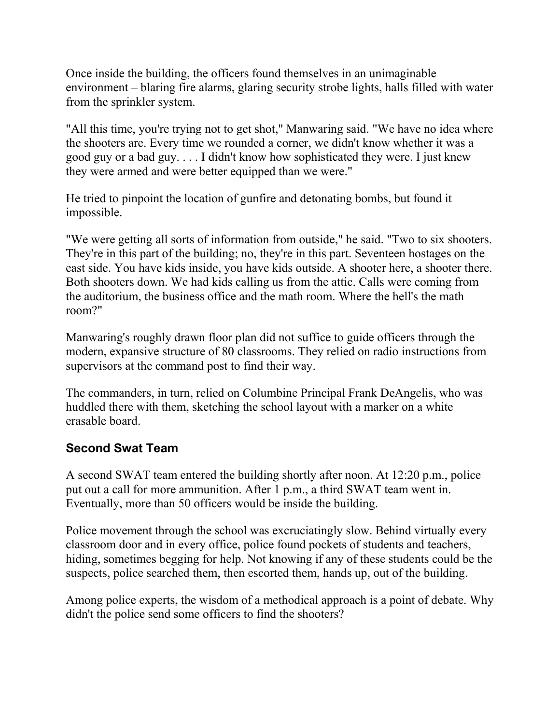Once inside the building, the officers found themselves in an unimaginable environment – blaring fire alarms, glaring security strobe lights, halls filled with water from the sprinkler system.

"All this time, you're trying not to get shot," Manwaring said. "We have no idea where the shooters are. Every time we rounded a corner, we didn't know whether it was a good guy or a bad guy. . . . I didn't know how sophisticated they were. I just knew they were armed and were better equipped than we were."

He tried to pinpoint the location of gunfire and detonating bombs, but found it impossible.

"We were getting all sorts of information from outside," he said. "Two to six shooters. They're in this part of the building; no, they're in this part. Seventeen hostages on the east side. You have kids inside, you have kids outside. A shooter here, a shooter there. Both shooters down. We had kids calling us from the attic. Calls were coming from the auditorium, the business office and the math room. Where the hell's the math room?"

Manwaring's roughly drawn floor plan did not suffice to guide officers through the modern, expansive structure of 80 classrooms. They relied on radio instructions from supervisors at the command post to find their way.

The commanders, in turn, relied on Columbine Principal Frank DeAngelis, who was huddled there with them, sketching the school layout with a marker on a white erasable board.

#### **Second Swat Team**

A second SWAT team entered the building shortly after noon. At 12:20 p.m., police put out a call for more ammunition. After 1 p.m., a third SWAT team went in. Eventually, more than 50 officers would be inside the building.

Police movement through the school was excruciatingly slow. Behind virtually every classroom door and in every office, police found pockets of students and teachers, hiding, sometimes begging for help. Not knowing if any of these students could be the suspects, police searched them, then escorted them, hands up, out of the building.

Among police experts, the wisdom of a methodical approach is a point of debate. Why didn't the police send some officers to find the shooters?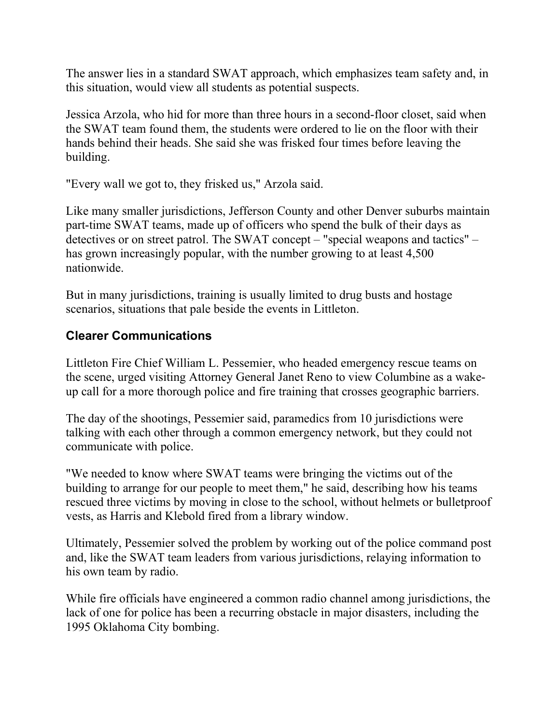The answer lies in a standard SWAT approach, which emphasizes team safety and, in this situation, would view all students as potential suspects.

Jessica Arzola, who hid for more than three hours in a second-floor closet, said when the SWAT team found them, the students were ordered to lie on the floor with their hands behind their heads. She said she was frisked four times before leaving the building.

"Every wall we got to, they frisked us," Arzola said.

Like many smaller jurisdictions, Jefferson County and other Denver suburbs maintain part-time SWAT teams, made up of officers who spend the bulk of their days as detectives or on street patrol. The SWAT concept – "special weapons and tactics" – has grown increasingly popular, with the number growing to at least 4,500 nationwide.

But in many jurisdictions, training is usually limited to drug busts and hostage scenarios, situations that pale beside the events in Littleton.

## **Clearer Communications**

Littleton Fire Chief William L. Pessemier, who headed emergency rescue teams on the scene, urged visiting Attorney General Janet Reno to view Columbine as a wakeup call for a more thorough police and fire training that crosses geographic barriers.

The day of the shootings, Pessemier said, paramedics from 10 jurisdictions were talking with each other through a common emergency network, but they could not communicate with police.

"We needed to know where SWAT teams were bringing the victims out of the building to arrange for our people to meet them," he said, describing how his teams rescued three victims by moving in close to the school, without helmets or bulletproof vests, as Harris and Klebold fired from a library window.

Ultimately, Pessemier solved the problem by working out of the police command post and, like the SWAT team leaders from various jurisdictions, relaying information to his own team by radio.

While fire officials have engineered a common radio channel among jurisdictions, the lack of one for police has been a recurring obstacle in major disasters, including the 1995 Oklahoma City bombing.